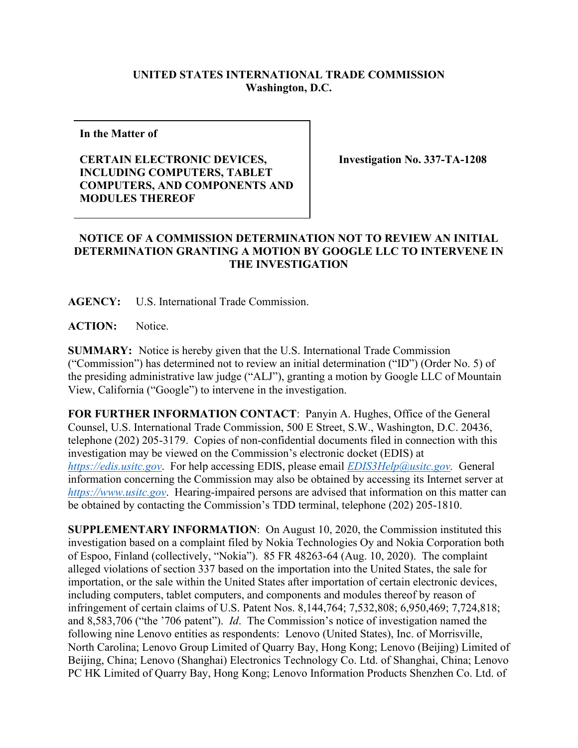## **UNITED STATES INTERNATIONAL TRADE COMMISSION Washington, D.C.**

**In the Matter of** 

## **CERTAIN ELECTRONIC DEVICES, INCLUDING COMPUTERS, TABLET COMPUTERS, AND COMPONENTS AND MODULES THEREOF**

**Investigation No. 337-TA-1208**

## **NOTICE OF A COMMISSION DETERMINATION NOT TO REVIEW AN INITIAL DETERMINATION GRANTING A MOTION BY GOOGLE LLC TO INTERVENE IN THE INVESTIGATION**

**AGENCY:** U.S. International Trade Commission.

**ACTION:** Notice.

**SUMMARY:** Notice is hereby given that the U.S. International Trade Commission ("Commission") has determined not to review an initial determination ("ID") (Order No. 5) of the presiding administrative law judge ("ALJ"), granting a motion by Google LLC of Mountain View, California ("Google") to intervene in the investigation.

**FOR FURTHER INFORMATION CONTACT**: Panyin A. Hughes, Office of the General Counsel, U.S. International Trade Commission, 500 E Street, S.W., Washington, D.C. 20436, telephone (202) 205-3179. Copies of non-confidential documents filed in connection with this investigation may be viewed on the Commission's electronic docket (EDIS) at *[https://edis.usitc.gov](https://edis.usitc.gov/)*. For help accessing EDIS, please email *[EDIS3Help@usitc.gov.](mailto:EDIS3Help@usitc.gov)* General information concerning the Commission may also be obtained by accessing its Internet server at *[https://www.usitc.gov](https://www.usitc.gov/)*. Hearing-impaired persons are advised that information on this matter can be obtained by contacting the Commission's TDD terminal, telephone (202) 205-1810.

**SUPPLEMENTARY INFORMATION**: On August 10, 2020, the Commission instituted this investigation based on a complaint filed by Nokia Technologies Oy and Nokia Corporation both of Espoo, Finland (collectively, "Nokia"). 85 FR 48263-64 (Aug. 10, 2020). The complaint alleged violations of section 337 based on the importation into the United States, the sale for importation, or the sale within the United States after importation of certain electronic devices, including computers, tablet computers, and components and modules thereof by reason of infringement of certain claims of U.S. Patent Nos. 8,144,764; 7,532,808; 6,950,469; 7,724,818; and 8,583,706 ("the '706 patent"). *Id*. The Commission's notice of investigation named the following nine Lenovo entities as respondents: Lenovo (United States), Inc. of Morrisville, North Carolina; Lenovo Group Limited of Quarry Bay, Hong Kong; Lenovo (Beijing) Limited of Beijing, China; Lenovo (Shanghai) Electronics Technology Co. Ltd. of Shanghai, China; Lenovo PC HK Limited of Quarry Bay, Hong Kong; Lenovo Information Products Shenzhen Co. Ltd. of